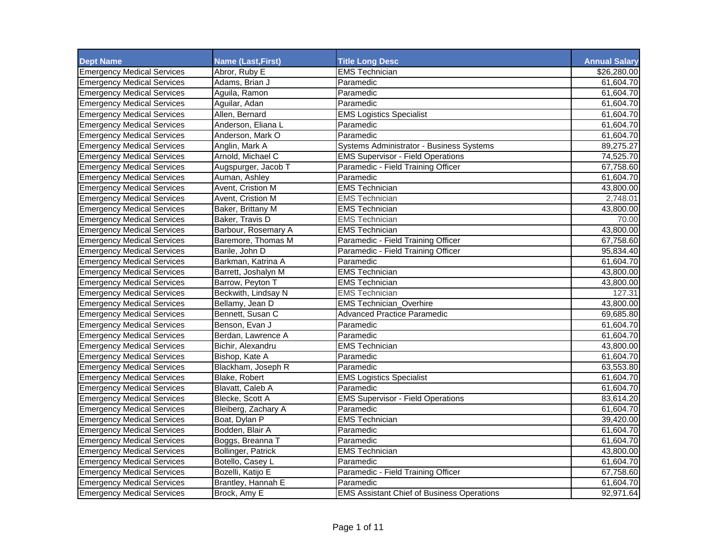| <b>Dept Name</b>                  | <b>Name (Last, First)</b> | <b>Title Long Desc</b>                            | <b>Annual Salary</b> |
|-----------------------------------|---------------------------|---------------------------------------------------|----------------------|
| <b>Emergency Medical Services</b> | Abror, Ruby E             | <b>EMS Technician</b>                             | \$26,280.00          |
| <b>Emergency Medical Services</b> | Adams, Brian J            | Paramedic                                         | 61,604.70            |
| <b>Emergency Medical Services</b> | Aguila, Ramon             | Paramedic                                         | 61,604.70            |
| <b>Emergency Medical Services</b> | Aguilar, Adan             | Paramedic                                         | 61,604.70            |
| <b>Emergency Medical Services</b> | Allen, Bernard            | <b>EMS Logistics Specialist</b>                   | 61,604.70            |
| <b>Emergency Medical Services</b> | Anderson, Eliana L        | Paramedic                                         | 61,604.70            |
| <b>Emergency Medical Services</b> | Anderson, Mark O          | Paramedic                                         | 61,604.70            |
| <b>Emergency Medical Services</b> | Anglin, Mark A            | Systems Administrator - Business Systems          | 89,275.27            |
| <b>Emergency Medical Services</b> | Arnold, Michael C         | <b>EMS Supervisor - Field Operations</b>          | 74,525.70            |
| <b>Emergency Medical Services</b> | Augspurger, Jacob T       | Paramedic - Field Training Officer                | 67,758.60            |
| <b>Emergency Medical Services</b> | Auman, Ashley             | Paramedic                                         | 61,604.70            |
| <b>Emergency Medical Services</b> | Avent, Cristion M         | <b>EMS Technician</b>                             | 43,800.00            |
| <b>Emergency Medical Services</b> | Avent. Cristion M         | <b>EMS Technician</b>                             | 2,748.01             |
| <b>Emergency Medical Services</b> | Baker, Brittany M         | <b>EMS Technician</b>                             | 43,800.00            |
| <b>Emergency Medical Services</b> | Baker, Travis D           | <b>EMS Technician</b>                             | 70.00                |
| <b>Emergency Medical Services</b> | Barbour, Rosemary A       | <b>EMS Technician</b>                             | 43,800.00            |
| <b>Emergency Medical Services</b> | Baremore, Thomas M        | Paramedic - Field Training Officer                | 67,758.60            |
| <b>Emergency Medical Services</b> | Barile, John D            | Paramedic - Field Training Officer                | 95,834.40            |
| <b>Emergency Medical Services</b> | Barkman, Katrina A        | Paramedic                                         | 61,604.70            |
| <b>Emergency Medical Services</b> | Barrett, Joshalyn M       | <b>EMS Technician</b>                             | 43,800.00            |
| <b>Emergency Medical Services</b> | Barrow, Peyton T          | <b>EMS Technician</b>                             | 43,800.00            |
| <b>Emergency Medical Services</b> | Beckwith, Lindsay N       | <b>EMS Technician</b>                             | 127.31               |
| <b>Emergency Medical Services</b> | Bellamy, Jean D           | <b>EMS Technician Overhire</b>                    | 43,800.00            |
| <b>Emergency Medical Services</b> | Bennett, Susan C          | <b>Advanced Practice Paramedic</b>                | 69,685.80            |
| <b>Emergency Medical Services</b> | Benson, Evan J            | Paramedic                                         | 61,604.70            |
| <b>Emergency Medical Services</b> | Berdan, Lawrence A        | Paramedic                                         | 61,604.70            |
| <b>Emergency Medical Services</b> | Bichir, Alexandru         | <b>EMS Technician</b>                             | 43,800.00            |
| <b>Emergency Medical Services</b> | Bishop, Kate A            | Paramedic                                         | 61,604.70            |
| <b>Emergency Medical Services</b> | Blackham, Joseph R        | Paramedic                                         | 63,553.80            |
| <b>Emergency Medical Services</b> | Blake, Robert             | <b>EMS Logistics Specialist</b>                   | 61,604.70            |
| <b>Emergency Medical Services</b> | Blavatt, Caleb A          | Paramedic                                         | 61,604.70            |
| <b>Emergency Medical Services</b> | Blecke, Scott A           | <b>EMS Supervisor - Field Operations</b>          | 83,614.20            |
| <b>Emergency Medical Services</b> | Bleiberg, Zachary A       | Paramedic                                         | 61,604.70            |
| <b>Emergency Medical Services</b> | Boat, Dylan P             | <b>EMS Technician</b>                             | 39,420.00            |
| <b>Emergency Medical Services</b> | Bodden, Blair A           | Paramedic                                         | 61,604.70            |
| <b>Emergency Medical Services</b> | Boggs, Breanna T          | Paramedic                                         | 61,604.70            |
| <b>Emergency Medical Services</b> | Bollinger, Patrick        | <b>EMS Technician</b>                             | 43,800.00            |
| <b>Emergency Medical Services</b> | Botello, Casey L          | Paramedic                                         | 61,604.70            |
| <b>Emergency Medical Services</b> | Bozelli, Katijo E         | Paramedic - Field Training Officer                | 67,758.60            |
| <b>Emergency Medical Services</b> | Brantley, Hannah E        | Paramedic                                         | 61,604.70            |
| <b>Emergency Medical Services</b> | Brock, Amy E              | <b>EMS Assistant Chief of Business Operations</b> | 92,971.64            |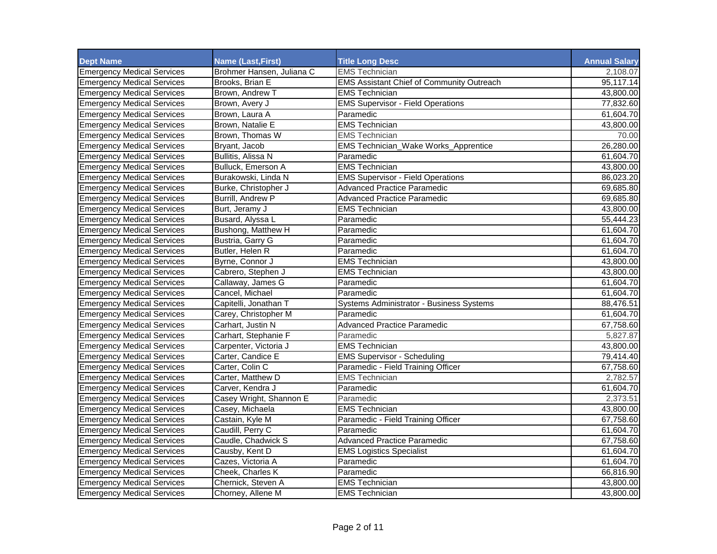| <b>Dept Name</b>                  | <b>Name (Last, First)</b> | <b>Title Long Desc</b>                           | <b>Annual Salary</b> |
|-----------------------------------|---------------------------|--------------------------------------------------|----------------------|
| <b>Emergency Medical Services</b> | Brohmer Hansen, Juliana C | <b>EMS Technician</b>                            | 2,108.07             |
| <b>Emergency Medical Services</b> | Brooks, Brian E           | <b>EMS Assistant Chief of Community Outreach</b> | 95,117.14            |
| <b>Emergency Medical Services</b> | Brown, Andrew T           | <b>EMS Technician</b>                            | 43,800.00            |
| <b>Emergency Medical Services</b> | Brown, Avery J            | <b>EMS Supervisor - Field Operations</b>         | 77,832.60            |
| <b>Emergency Medical Services</b> | Brown, Laura A            | Paramedic                                        | 61,604.70            |
| <b>Emergency Medical Services</b> | Brown, Natalie E          | <b>EMS Technician</b>                            | 43,800.00            |
| <b>Emergency Medical Services</b> | Brown, Thomas W           | EMS Technician                                   | 70.00                |
| <b>Emergency Medical Services</b> | Bryant, Jacob             | EMS Technician_Wake Works_Apprentice             | 26,280.00            |
| <b>Emergency Medical Services</b> | Bullitis, Alissa N        | Paramedic                                        | 61,604.70            |
| <b>Emergency Medical Services</b> | Bulluck, Emerson A        | <b>EMS Technician</b>                            | 43,800.00            |
| <b>Emergency Medical Services</b> | Burakowski, Linda N       | <b>EMS Supervisor - Field Operations</b>         | 86,023.20            |
| <b>Emergency Medical Services</b> | Burke, Christopher J      | <b>Advanced Practice Paramedic</b>               | 69,685.80            |
| <b>Emergency Medical Services</b> | Burrill, Andrew P         | <b>Advanced Practice Paramedic</b>               | 69,685.80            |
| <b>Emergency Medical Services</b> | Burt, Jeramy J            | <b>EMS Technician</b>                            | 43,800.00            |
| <b>Emergency Medical Services</b> | Busard, Alyssa L          | Paramedic                                        | 55,444.23            |
| <b>Emergency Medical Services</b> | Bushong, Matthew H        | Paramedic                                        | 61,604.70            |
| <b>Emergency Medical Services</b> | Bustria, Garry G          | Paramedic                                        | 61,604.70            |
| <b>Emergency Medical Services</b> | Butler, Helen R           | Paramedic                                        | 61,604.70            |
| <b>Emergency Medical Services</b> | Byrne, Connor J           | <b>EMS Technician</b>                            | 43,800.00            |
| <b>Emergency Medical Services</b> | Cabrero, Stephen J        | <b>EMS Technician</b>                            | 43,800.00            |
| <b>Emergency Medical Services</b> | Callaway, James G         | Paramedic                                        | 61,604.70            |
| <b>Emergency Medical Services</b> | Cancel, Michael           | Paramedic                                        | 61,604.70            |
| <b>Emergency Medical Services</b> | Capitelli, Jonathan T     | Systems Administrator - Business Systems         | 88,476.51            |
| <b>Emergency Medical Services</b> | Carey, Christopher M      | Paramedic                                        | 61,604.70            |
| <b>Emergency Medical Services</b> | Carhart, Justin N         | <b>Advanced Practice Paramedic</b>               | 67,758.60            |
| <b>Emergency Medical Services</b> | Carhart, Stephanie F      | Paramedic                                        | 5,827.87             |
| <b>Emergency Medical Services</b> | Carpenter, Victoria J     | <b>EMS Technician</b>                            | 43,800.00            |
| <b>Emergency Medical Services</b> | Carter, Candice E         | <b>EMS Supervisor - Scheduling</b>               | 79,414.40            |
| <b>Emergency Medical Services</b> | Carter, Colin C           | Paramedic - Field Training Officer               | 67,758.60            |
| <b>Emergency Medical Services</b> | Carter, Matthew D         | <b>EMS Technician</b>                            | 2,782.57             |
| <b>Emergency Medical Services</b> | Carver. Kendra J          | Paramedic                                        | 61,604.70            |
| <b>Emergency Medical Services</b> | Casey Wright, Shannon E   | Paramedic                                        | 2,373.51             |
| <b>Emergency Medical Services</b> | Casey, Michaela           | <b>EMS Technician</b>                            | 43,800.00            |
| <b>Emergency Medical Services</b> | Castain, Kyle M           | Paramedic - Field Training Officer               | 67,758.60            |
| <b>Emergency Medical Services</b> | Caudill, Perry C          | Paramedic                                        | 61,604.70            |
| <b>Emergency Medical Services</b> | Caudle, Chadwick S        | <b>Advanced Practice Paramedic</b>               | 67,758.60            |
| <b>Emergency Medical Services</b> | Causby, Kent D            | <b>EMS Logistics Specialist</b>                  | 61,604.70            |
| <b>Emergency Medical Services</b> | Cazes, Victoria A         | Paramedic                                        | 61,604.70            |
| <b>Emergency Medical Services</b> | Cheek, Charles K          | Paramedic                                        | 66,816.90            |
| <b>Emergency Medical Services</b> | Chernick, Steven A        | <b>EMS Technician</b>                            | 43,800.00            |
| <b>Emergency Medical Services</b> | Chorney, Allene M         | <b>EMS Technician</b>                            | 43,800.00            |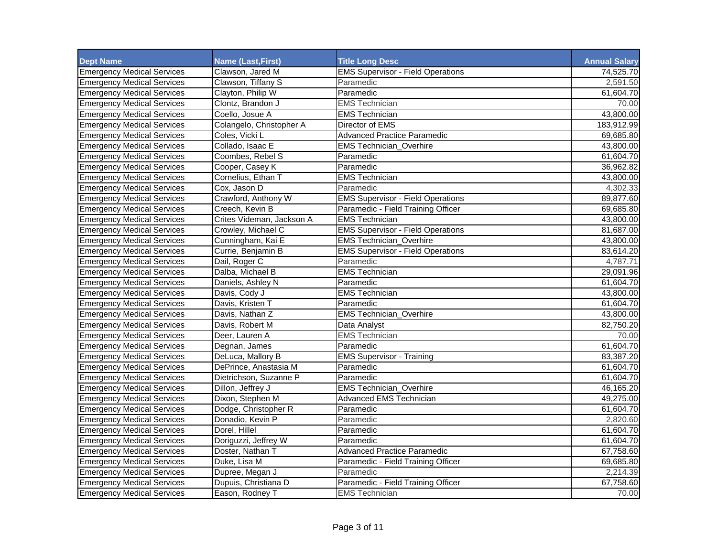| <b>Dept Name</b>                  | <b>Name (Last, First)</b> | <b>Title Long Desc</b>                   | <b>Annual Salary</b> |
|-----------------------------------|---------------------------|------------------------------------------|----------------------|
| <b>Emergency Medical Services</b> | Clawson, Jared M          | <b>EMS Supervisor - Field Operations</b> | 74,525.70            |
| <b>Emergency Medical Services</b> | Clawson, Tiffany S        | Paramedic                                | 2,591.50             |
| <b>Emergency Medical Services</b> | Clayton, Philip W         | Paramedic                                | 61,604.70            |
| <b>Emergency Medical Services</b> | Clontz, Brandon J         | <b>EMS Technician</b>                    | 70.00                |
| <b>Emergency Medical Services</b> | Coello, Josue A           | <b>EMS Technician</b>                    | 43,800.00            |
| <b>Emergency Medical Services</b> | Colangelo, Christopher A  | Director of EMS                          | 183,912.99           |
| <b>Emergency Medical Services</b> | Coles, Vicki L            | Advanced Practice Paramedic              | 69,685.80            |
| <b>Emergency Medical Services</b> | Collado, Isaac E          | <b>EMS Technician Overhire</b>           | 43,800.00            |
| <b>Emergency Medical Services</b> | Coombes, Rebel S          | Paramedic                                | 61,604.70            |
| <b>Emergency Medical Services</b> | Cooper, Casey K           | Paramedic                                | 36,962.82            |
| <b>Emergency Medical Services</b> | Cornelius, Ethan T        | <b>EMS Technician</b>                    | 43,800.00            |
| <b>Emergency Medical Services</b> | Cox. Jason D              | Paramedic                                | 4,302.33             |
| <b>Emergency Medical Services</b> | Crawford, Anthony W       | <b>EMS Supervisor - Field Operations</b> | 89,877.60            |
| <b>Emergency Medical Services</b> | Creech, Kevin B           | Paramedic - Field Training Officer       | 69,685.80            |
| <b>Emergency Medical Services</b> | Crites Videman, Jackson A | <b>EMS Technician</b>                    | 43,800.00            |
| <b>Emergency Medical Services</b> | Crowley, Michael C        | <b>EMS Supervisor - Field Operations</b> | 81,687.00            |
| <b>Emergency Medical Services</b> | Cunningham, Kai E         | <b>EMS Technician Overhire</b>           | 43,800.00            |
| <b>Emergency Medical Services</b> | Currie, Benjamin B        | <b>EMS Supervisor - Field Operations</b> | 83,614.20            |
| <b>Emergency Medical Services</b> | Dail, Roger C             | Paramedic                                | 4,787.71             |
| <b>Emergency Medical Services</b> | Dalba, Michael B          | <b>EMS Technician</b>                    | 29,091.96            |
| <b>Emergency Medical Services</b> | Daniels, Ashley N         | Paramedic                                | 61,604.70            |
| <b>Emergency Medical Services</b> | Davis, Cody J             | <b>EMS Technician</b>                    | 43,800.00            |
| <b>Emergency Medical Services</b> | Davis, Kristen T          | Paramedic                                | 61.604.70            |
| <b>Emergency Medical Services</b> | Davis, Nathan Z           | <b>EMS Technician_Overhire</b>           | 43,800.00            |
| <b>Emergency Medical Services</b> | Davis, Robert M           | Data Analyst                             | 82,750.20            |
| <b>Emergency Medical Services</b> | Deer, Lauren A            | <b>EMS Technician</b>                    | 70.00                |
| <b>Emergency Medical Services</b> | Degnan, James             | Paramedic                                | 61,604.70            |
| <b>Emergency Medical Services</b> | DeLuca, Mallory B         | <b>EMS Supervisor - Training</b>         | 83,387.20            |
| <b>Emergency Medical Services</b> | DePrince, Anastasia M     | Paramedic                                | 61,604.70            |
| <b>Emergency Medical Services</b> | Dietrichson, Suzanne P    | Paramedic                                | 61,604.70            |
| <b>Emergency Medical Services</b> | Dillon, Jeffrey J         | <b>EMS Technician Overhire</b>           | 46,165.20            |
| <b>Emergency Medical Services</b> | Dixon, Stephen M          | Advanced EMS Technician                  | 49,275.00            |
| <b>Emergency Medical Services</b> | Dodge, Christopher R      | Paramedic                                | 61,604.70            |
| <b>Emergency Medical Services</b> | Donadio, Kevin P          | Paramedic                                | 2,820.60             |
| <b>Emergency Medical Services</b> | Dorel, Hillel             | Paramedic                                | 61,604.70            |
| <b>Emergency Medical Services</b> | Doriguzzi, Jeffrey W      | Paramedic                                | 61,604.70            |
| <b>Emergency Medical Services</b> | Doster, Nathan T          | <b>Advanced Practice Paramedic</b>       | 67,758.60            |
| <b>Emergency Medical Services</b> | Duke, Lisa M              | Paramedic - Field Training Officer       | 69,685.80            |
| <b>Emergency Medical Services</b> | Dupree, Megan J           | Paramedic                                | 2,214.39             |
| <b>Emergency Medical Services</b> | Dupuis, Christiana D      | Paramedic - Field Training Officer       | 67,758.60            |
| <b>Emergency Medical Services</b> | Eason, Rodney T           | <b>EMS Technician</b>                    | 70.00                |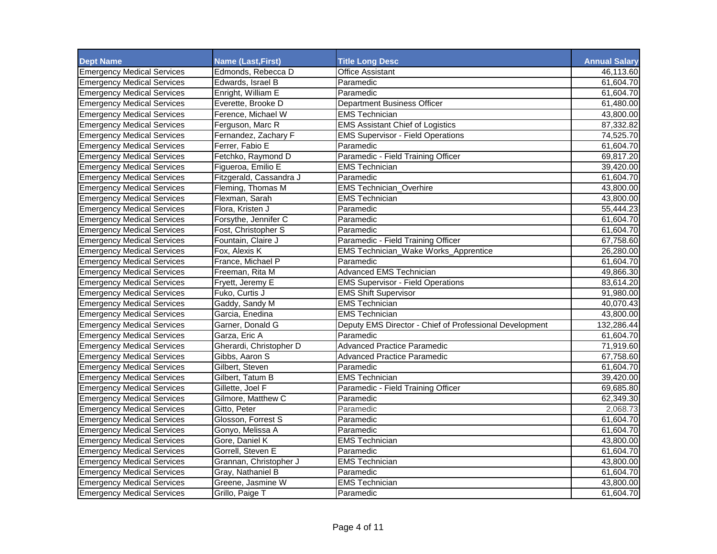| <b>Dept Name</b>                  | <b>Name (Last, First)</b> | <b>Title Long Desc</b>                                  | <b>Annual Salary</b> |
|-----------------------------------|---------------------------|---------------------------------------------------------|----------------------|
| <b>Emergency Medical Services</b> | Edmonds, Rebecca D        | <b>Office Assistant</b>                                 | 46,113.60            |
| <b>Emergency Medical Services</b> | Edwards, Israel B         | Paramedic                                               | 61,604.70            |
| <b>Emergency Medical Services</b> | Enright, William E        | Paramedic                                               | 61,604.70            |
| <b>Emergency Medical Services</b> | Everette, Brooke D        | <b>Department Business Officer</b>                      | 61,480.00            |
| <b>Emergency Medical Services</b> | Ference, Michael W        | <b>EMS Technician</b>                                   | 43,800.00            |
| <b>Emergency Medical Services</b> | Ferguson, Marc R          | <b>EMS Assistant Chief of Logistics</b>                 | 87,332.82            |
| <b>Emergency Medical Services</b> | Fernandez, Zachary F      | <b>EMS Supervisor - Field Operations</b>                | 74,525.70            |
| <b>Emergency Medical Services</b> | Ferrer, Fabio E           | Paramedic                                               | 61,604.70            |
| <b>Emergency Medical Services</b> | Fetchko, Raymond D        | Paramedic - Field Training Officer                      | 69,817.20            |
| <b>Emergency Medical Services</b> | Figueroa, Emilio E        | <b>EMS Technician</b>                                   | 39,420.00            |
| <b>Emergency Medical Services</b> | Fitzgerald, Cassandra J   | Paramedic                                               | 61,604.70            |
| <b>Emergency Medical Services</b> | Fleming, Thomas M         | <b>EMS Technician Overhire</b>                          | 43,800.00            |
| <b>Emergency Medical Services</b> | Flexman, Sarah            | <b>EMS Technician</b>                                   | 43,800.00            |
| <b>Emergency Medical Services</b> | Flora, Kristen J          | Paramedic                                               | 55,444.23            |
| <b>Emergency Medical Services</b> | Forsythe, Jennifer C      | Paramedic                                               | 61,604.70            |
| <b>Emergency Medical Services</b> | Fost, Christopher S       | Paramedic                                               | 61,604.70            |
| <b>Emergency Medical Services</b> | Fountain, Claire J        | Paramedic - Field Training Officer                      | 67,758.60            |
| <b>Emergency Medical Services</b> | Fox. Alexis K             | <b>EMS Technician_Wake Works_Apprentice</b>             | 26,280.00            |
| <b>Emergency Medical Services</b> | France, Michael P         | Paramedic                                               | 61,604.70            |
| <b>Emergency Medical Services</b> | Freeman, Rita M           | <b>Advanced EMS Technician</b>                          | 49,866.30            |
| <b>Emergency Medical Services</b> | Fryett, Jeremy E          | <b>EMS Supervisor - Field Operations</b>                | 83,614.20            |
| <b>Emergency Medical Services</b> | Fuko, Curtis J            | <b>EMS Shift Supervisor</b>                             | 91,980.00            |
| <b>Emergency Medical Services</b> | Gaddy, Sandy M            | <b>EMS Technician</b>                                   | 40,070.43            |
| <b>Emergency Medical Services</b> | Garcia, Enedina           | <b>EMS Technician</b>                                   | 43,800.00            |
| <b>Emergency Medical Services</b> | Garner, Donald G          | Deputy EMS Director - Chief of Professional Development | 132,286.44           |
| <b>Emergency Medical Services</b> | Garza, Eric A             | Paramedic                                               | 61,604.70            |
| <b>Emergency Medical Services</b> | Gherardi, Christopher D   | <b>Advanced Practice Paramedic</b>                      | 71,919.60            |
| <b>Emergency Medical Services</b> | Gibbs, Aaron S            | <b>Advanced Practice Paramedic</b>                      | 67,758.60            |
| <b>Emergency Medical Services</b> | Gilbert, Steven           | Paramedic                                               | 61,604.70            |
| <b>Emergency Medical Services</b> | Gilbert, Tatum B          | <b>EMS Technician</b>                                   | 39,420.00            |
| <b>Emergency Medical Services</b> | Gillette, Joel F          | Paramedic - Field Training Officer                      | 69,685.80            |
| <b>Emergency Medical Services</b> | Gilmore, Matthew C        | Paramedic                                               | 62,349.30            |
| <b>Emergency Medical Services</b> | Gitto, Peter              | Paramedic                                               | 2,068.73             |
| <b>Emergency Medical Services</b> | Glosson, Forrest S        | Paramedic                                               | 61,604.70            |
| <b>Emergency Medical Services</b> | Gonyo, Melissa A          | Paramedic                                               | 61,604.70            |
| <b>Emergency Medical Services</b> | Gore, Daniel K            | <b>EMS Technician</b>                                   | 43,800.00            |
| <b>Emergency Medical Services</b> | Gorrell, Steven E         | Paramedic                                               | 61,604.70            |
| <b>Emergency Medical Services</b> | Grannan, Christopher J    | <b>EMS Technician</b>                                   | 43,800.00            |
| <b>Emergency Medical Services</b> | Gray, Nathaniel B         | Paramedic                                               | 61,604.70            |
| <b>Emergency Medical Services</b> | Greene, Jasmine W         | <b>EMS Technician</b>                                   | 43,800.00            |
| <b>Emergency Medical Services</b> | Grillo, Paige T           | Paramedic                                               | 61,604.70            |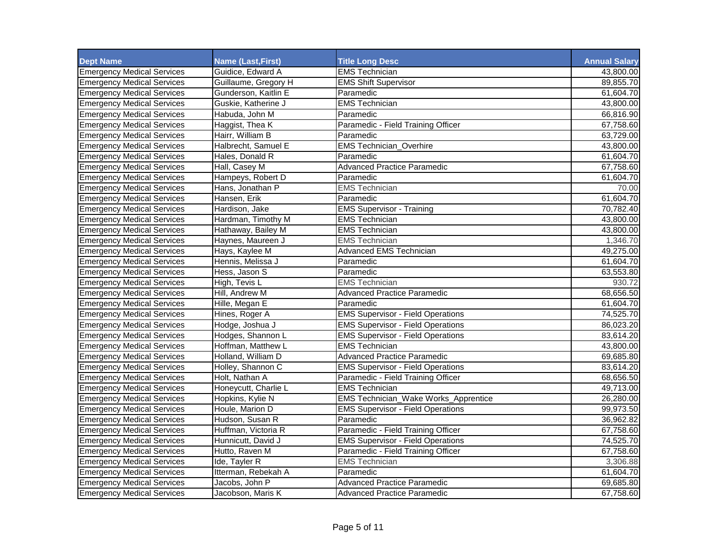| <b>Dept Name</b>                  | <b>Name (Last, First)</b> | <b>Title Long Desc</b>                   | <b>Annual Salary</b> |
|-----------------------------------|---------------------------|------------------------------------------|----------------------|
| <b>Emergency Medical Services</b> | Guidice, Edward A         | <b>EMS Technician</b>                    | 43,800.00            |
| <b>Emergency Medical Services</b> | Guillaume, Gregory H      | <b>EMS Shift Supervisor</b>              | 89,855.70            |
| <b>Emergency Medical Services</b> | Gunderson, Kaitlin E      | Paramedic                                | 61,604.70            |
| <b>Emergency Medical Services</b> | Guskie, Katherine J       | <b>EMS Technician</b>                    | 43,800.00            |
| <b>Emergency Medical Services</b> | Habuda, John M            | Paramedic                                | 66,816.90            |
| <b>Emergency Medical Services</b> | Haggist, Thea K           | Paramedic - Field Training Officer       | 67,758.60            |
| <b>Emergency Medical Services</b> | Hairr, William B          | Paramedic                                | 63,729.00            |
| <b>Emergency Medical Services</b> | Halbrecht, Samuel E       | <b>EMS Technician_Overhire</b>           | 43,800.00            |
| <b>Emergency Medical Services</b> | Hales, Donald R           | Paramedic                                | 61,604.70            |
| <b>Emergency Medical Services</b> | Hall, Casey M             | <b>Advanced Practice Paramedic</b>       | 67,758.60            |
| <b>Emergency Medical Services</b> | Hampeys, Robert D         | Paramedic                                | 61,604.70            |
| <b>Emergency Medical Services</b> | Hans, Jonathan P          | <b>EMS Technician</b>                    | 70.00                |
| <b>Emergency Medical Services</b> | Hansen, Erik              | Paramedic                                | 61,604.70            |
| <b>Emergency Medical Services</b> | Hardison, Jake            | <b>EMS Supervisor - Training</b>         | 70,782.40            |
| <b>Emergency Medical Services</b> | Hardman, Timothy M        | <b>EMS</b> Technician                    | 43,800.00            |
| <b>Emergency Medical Services</b> | Hathaway, Bailey M        | <b>EMS Technician</b>                    | 43,800.00            |
| <b>Emergency Medical Services</b> | Haynes, Maureen J         | <b>EMS Technician</b>                    | 1,346.70             |
| <b>Emergency Medical Services</b> | Hays, Kaylee M            | <b>Advanced EMS Technician</b>           | 49,275.00            |
| <b>Emergency Medical Services</b> | Hennis, Melissa J         | Paramedic                                | 61,604.70            |
| <b>Emergency Medical Services</b> | Hess, Jason S             | Paramedic                                | 63,553.80            |
| <b>Emergency Medical Services</b> | High, Tevis L             | <b>EMS Technician</b>                    | 930.72               |
| <b>Emergency Medical Services</b> | Hill, Andrew M            | <b>Advanced Practice Paramedic</b>       | 68,656.50            |
| <b>Emergency Medical Services</b> | Hille, Megan E            | Paramedic                                | 61,604.70            |
| <b>Emergency Medical Services</b> | Hines, Roger A            | <b>EMS Supervisor - Field Operations</b> | 74,525.70            |
| <b>Emergency Medical Services</b> | Hodge, Joshua J           | <b>EMS Supervisor - Field Operations</b> | 86,023.20            |
| <b>Emergency Medical Services</b> | Hodges, Shannon L         | <b>EMS Supervisor - Field Operations</b> | 83,614.20            |
| <b>Emergency Medical Services</b> | Hoffman, Matthew L        | <b>EMS Technician</b>                    | 43,800.00            |
| <b>Emergency Medical Services</b> | Holland, William D        | <b>Advanced Practice Paramedic</b>       | 69,685.80            |
| <b>Emergency Medical Services</b> | Holley, Shannon C         | <b>EMS Supervisor - Field Operations</b> | 83,614.20            |
| <b>Emergency Medical Services</b> | Holt, Nathan A            | Paramedic - Field Training Officer       | 68,656.50            |
| <b>Emergency Medical Services</b> | Honeycutt, Charlie L      | <b>EMS Technician</b>                    | 49,713.00            |
| <b>Emergency Medical Services</b> | Hopkins, Kylie N          | EMS Technician_Wake Works_Apprentice     | 26,280.00            |
| <b>Emergency Medical Services</b> | Houle, Marion D           | <b>EMS Supervisor - Field Operations</b> | 99,973.50            |
| <b>Emergency Medical Services</b> | Hudson, Susan R           | Paramedic                                | 36,962.82            |
| <b>Emergency Medical Services</b> | Huffman, Victoria R       | Paramedic - Field Training Officer       | 67,758.60            |
| <b>Emergency Medical Services</b> | Hunnicutt, David J        | <b>EMS Supervisor - Field Operations</b> | 74,525.70            |
| <b>Emergency Medical Services</b> | Hutto, Raven M            | Paramedic - Field Training Officer       | 67,758.60            |
| <b>Emergency Medical Services</b> | Ide, Tayler R             | <b>EMS Technician</b>                    | 3,306.88             |
| <b>Emergency Medical Services</b> | Itterman, Rebekah A       | Paramedic                                | 61,604.70            |
| <b>Emergency Medical Services</b> | Jacobs, John P            | <b>Advanced Practice Paramedic</b>       | 69,685.80            |
| <b>Emergency Medical Services</b> | Jacobson, Maris K         | <b>Advanced Practice Paramedic</b>       | 67,758.60            |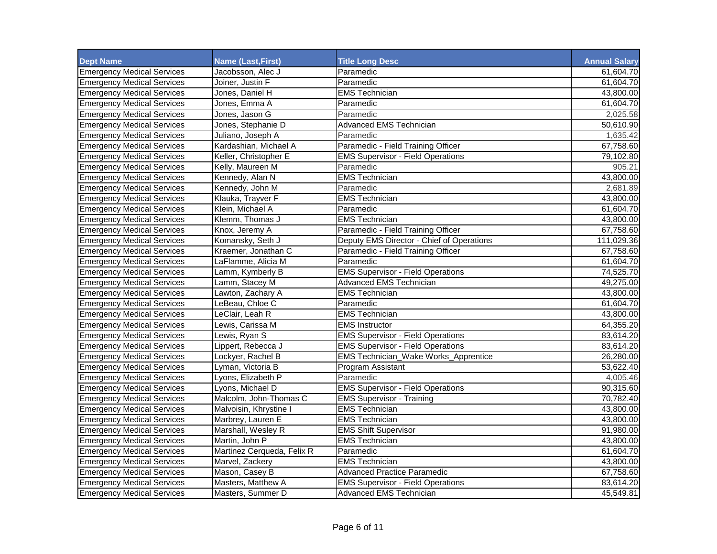| <b>Dept Name</b>                  | <b>Name (Last, First)</b>  | <b>Title Long Desc</b>                    | <b>Annual Salary</b> |
|-----------------------------------|----------------------------|-------------------------------------------|----------------------|
| <b>Emergency Medical Services</b> | Jacobsson. Alec J          | Paramedic                                 | 61,604.70            |
| <b>Emergency Medical Services</b> | Joiner, Justin F           | Paramedic                                 | 61,604.70            |
| <b>Emergency Medical Services</b> | Jones, Daniel H            | <b>EMS Technician</b>                     | 43,800.00            |
| <b>Emergency Medical Services</b> | Jones, Emma A              | Paramedic                                 | 61,604.70            |
| <b>Emergency Medical Services</b> | Jones, Jason G             | Paramedic                                 | 2,025.58             |
| <b>Emergency Medical Services</b> | Jones, Stephanie D         | <b>Advanced EMS Technician</b>            | 50,610.90            |
| <b>Emergency Medical Services</b> | Juliano, Joseph A          | Paramedic                                 | 1,635.42             |
| <b>Emergency Medical Services</b> | Kardashian. Michael A      | Paramedic - Field Training Officer        | 67,758.60            |
| <b>Emergency Medical Services</b> | Keller, Christopher E      | <b>EMS Supervisor - Field Operations</b>  | 79,102.80            |
| <b>Emergency Medical Services</b> | Kelly, Maureen M           | Paramedic                                 | 905.21               |
| <b>Emergency Medical Services</b> | Kennedy, Alan N            | <b>EMS Technician</b>                     | 43,800.00            |
| <b>Emergency Medical Services</b> | Kennedy, John M            | Paramedic                                 | 2,681.89             |
| <b>Emergency Medical Services</b> | Klauka, Trayver F          | <b>EMS Technician</b>                     | 43,800.00            |
| <b>Emergency Medical Services</b> | Klein, Michael A           | Paramedic                                 | 61,604.70            |
| <b>Emergency Medical Services</b> | Klemm, Thomas J            | <b>EMS Technician</b>                     | 43,800.00            |
| <b>Emergency Medical Services</b> | Knox, Jeremy A             | Paramedic - Field Training Officer        | 67,758.60            |
| <b>Emergency Medical Services</b> | Komansky, Seth J           | Deputy EMS Director - Chief of Operations | 111,029.36           |
| <b>Emergency Medical Services</b> | Kraemer, Jonathan C        | Paramedic - Field Training Officer        | 67,758.60            |
| <b>Emergency Medical Services</b> | LaFlamme. Alicia M         | Paramedic                                 | 61,604.70            |
| <b>Emergency Medical Services</b> | Lamm, Kymberly B           | <b>EMS Supervisor - Field Operations</b>  | 74,525.70            |
| <b>Emergency Medical Services</b> | Lamm, Stacey M             | <b>Advanced EMS Technician</b>            | 49,275.00            |
| <b>Emergency Medical Services</b> | Lawton, Zachary A          | <b>EMS Technician</b>                     | 43,800.00            |
| <b>Emergency Medical Services</b> | LeBeau, Chloe C            | Paramedic                                 | 61,604.70            |
| <b>Emergency Medical Services</b> | LeClair, Leah R            | <b>EMS Technician</b>                     | 43,800.00            |
| <b>Emergency Medical Services</b> | Lewis, Carissa M           | <b>EMS Instructor</b>                     | 64,355.20            |
| <b>Emergency Medical Services</b> | Lewis, Ryan S              | <b>EMS Supervisor - Field Operations</b>  | 83,614.20            |
| <b>Emergency Medical Services</b> | Lippert, Rebecca J         | <b>EMS Supervisor - Field Operations</b>  | 83,614.20            |
| <b>Emergency Medical Services</b> | Lockyer, Rachel B          | EMS Technician_Wake Works_Apprentice      | 26,280.00            |
| <b>Emergency Medical Services</b> | Lyman, Victoria B          | Program Assistant                         | 53,622.40            |
| <b>Emergency Medical Services</b> | Lyons, Elizabeth P         | Paramedic                                 | 4,005.46             |
| <b>Emergency Medical Services</b> | Lyons, Michael D           | <b>EMS Supervisor - Field Operations</b>  | 90,315.60            |
| <b>Emergency Medical Services</b> | Malcolm, John-Thomas C     | <b>EMS Supervisor - Training</b>          | 70,782.40            |
| <b>Emergency Medical Services</b> | Malvoisin, Khrystine I     | <b>EMS Technician</b>                     | 43,800.00            |
| <b>Emergency Medical Services</b> | Marbrey, Lauren E          | <b>EMS Technician</b>                     | 43,800.00            |
| <b>Emergency Medical Services</b> | Marshall, Wesley R         | <b>EMS Shift Supervisor</b>               | 91,980.00            |
| <b>Emergency Medical Services</b> | Martin, John P             | <b>EMS Technician</b>                     | 43,800.00            |
| <b>Emergency Medical Services</b> | Martinez Cerqueda, Felix R | Paramedic                                 | 61,604.70            |
| <b>Emergency Medical Services</b> | Marvel, Zackery            | <b>EMS Technician</b>                     | 43,800.00            |
| <b>Emergency Medical Services</b> | Mason, Casey B             | <b>Advanced Practice Paramedic</b>        | 67,758.60            |
| <b>Emergency Medical Services</b> | Masters, Matthew A         | <b>EMS Supervisor - Field Operations</b>  | 83,614.20            |
| <b>Emergency Medical Services</b> | Masters, Summer D          | <b>Advanced EMS Technician</b>            | 45,549.81            |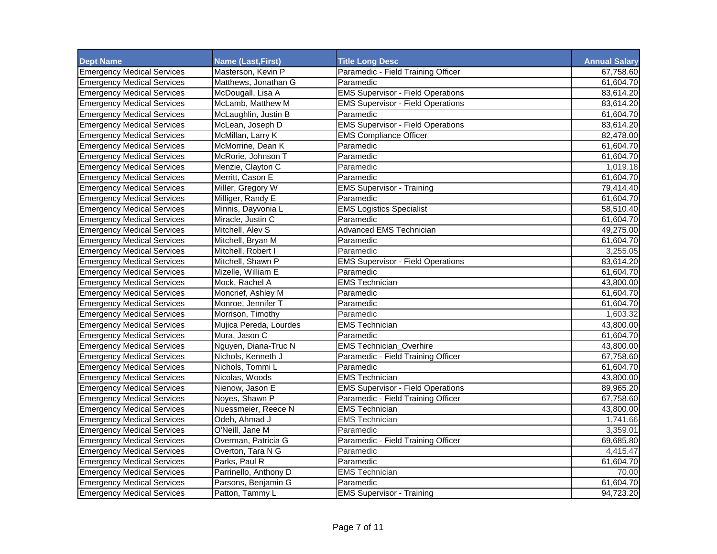| <b>Dept Name</b>                  | <b>Name (Last, First)</b> | <b>Title Long Desc</b>                   | <b>Annual Salary</b> |
|-----------------------------------|---------------------------|------------------------------------------|----------------------|
| <b>Emergency Medical Services</b> | Masterson, Kevin P        | Paramedic - Field Training Officer       | 67,758.60            |
| <b>Emergency Medical Services</b> | Matthews, Jonathan G      | Paramedic                                | 61,604.70            |
| <b>Emergency Medical Services</b> | McDougall, Lisa A         | <b>EMS Supervisor - Field Operations</b> | 83,614.20            |
| <b>Emergency Medical Services</b> | McLamb, Matthew M         | <b>EMS Supervisor - Field Operations</b> | 83,614.20            |
| <b>Emergency Medical Services</b> | McLaughlin, Justin B      | Paramedic                                | 61,604.70            |
| <b>Emergency Medical Services</b> | McLean, Joseph D          | <b>EMS Supervisor - Field Operations</b> | 83,614.20            |
| <b>Emergency Medical Services</b> | McMillan, Larry K         | <b>EMS Compliance Officer</b>            | 82,478.00            |
| <b>Emergency Medical Services</b> | McMorrine, Dean K         | Paramedic                                | 61,604.70            |
| <b>Emergency Medical Services</b> | McRorie, Johnson T        | Paramedic                                | 61,604.70            |
| <b>Emergency Medical Services</b> | Menzie, Clayton C         | Paramedic                                | 1,019.18             |
| <b>Emergency Medical Services</b> | Merritt, Cason E          | Paramedic                                | 61,604.70            |
| <b>Emergency Medical Services</b> | Miller, Gregory W         | <b>EMS Supervisor - Training</b>         | 79,414.40            |
| <b>Emergency Medical Services</b> | Milliger, Randy E         | Paramedic                                | 61,604.70            |
| <b>Emergency Medical Services</b> | Minnis, Dayvonia L        | <b>EMS Logistics Specialist</b>          | 58,510.40            |
| <b>Emergency Medical Services</b> | Miracle, Justin C         | Paramedic                                | 61,604.70            |
| <b>Emergency Medical Services</b> | Mitchell, Alev S          | <b>Advanced EMS Technician</b>           | 49,275.00            |
| <b>Emergency Medical Services</b> | Mitchell, Bryan M         | Paramedic                                | 61,604.70            |
| <b>Emergency Medical Services</b> | Mitchell, Robert I        | Paramedic                                | 3,255.05             |
| <b>Emergency Medical Services</b> | Mitchell, Shawn P         | <b>EMS Supervisor - Field Operations</b> | 83,614.20            |
| <b>Emergency Medical Services</b> | Mizelle, William E        | Paramedic                                | 61,604.70            |
| <b>Emergency Medical Services</b> | Mock. Rachel A            | <b>EMS Technician</b>                    | 43,800.00            |
| <b>Emergency Medical Services</b> | Moncrief, Ashley M        | Paramedic                                | 61,604.70            |
| <b>Emergency Medical Services</b> | Monroe, Jennifer T        | Paramedic                                | 61.604.70            |
| <b>Emergency Medical Services</b> | Morrison, Timothy         | Paramedic                                | 1,603.32             |
| <b>Emergency Medical Services</b> | Mujica Pereda, Lourdes    | <b>EMS Technician</b>                    | 43,800.00            |
| <b>Emergency Medical Services</b> | Mura, Jason C             | Paramedic                                | 61,604.70            |
| <b>Emergency Medical Services</b> | Nguyen, Diana-Truc N      | <b>EMS Technician_Overhire</b>           | 43,800.00            |
| <b>Emergency Medical Services</b> | Nichols, Kenneth J        | Paramedic - Field Training Officer       | 67,758.60            |
| <b>Emergency Medical Services</b> | Nichols, Tommi L          | Paramedic                                | 61,604.70            |
| <b>Emergency Medical Services</b> | Nicolas, Woods            | <b>EMS Technician</b>                    | 43,800.00            |
| <b>Emergency Medical Services</b> | Nienow, Jason E           | <b>EMS Supervisor - Field Operations</b> | 89,965.20            |
| <b>Emergency Medical Services</b> | Noyes, Shawn P            | Paramedic - Field Training Officer       | 67,758.60            |
| <b>Emergency Medical Services</b> | Nuessmeier, Reece N       | <b>EMS Technician</b>                    | 43,800.00            |
| <b>Emergency Medical Services</b> | Odeh, Ahmad J             | <b>EMS Technician</b>                    | 1,741.66             |
| <b>Emergency Medical Services</b> | O'Neill. Jane M           | Paramedic                                | 3,359.01             |
| <b>Emergency Medical Services</b> | Overman, Patricia G       | Paramedic - Field Training Officer       | 69,685.80            |
| <b>Emergency Medical Services</b> | Overton, Tara N G         | Paramedic                                | 4,415.47             |
| <b>Emergency Medical Services</b> | Parks, Paul R             | Paramedic                                | 61,604.70            |
| <b>Emergency Medical Services</b> | Parrinello, Anthony D     | <b>EMS Technician</b>                    | 70.00                |
| <b>Emergency Medical Services</b> | Parsons, Benjamin G       | Paramedic                                | 61,604.70            |
| <b>Emergency Medical Services</b> | Patton, Tammy L           | <b>EMS Supervisor - Training</b>         | 94,723.20            |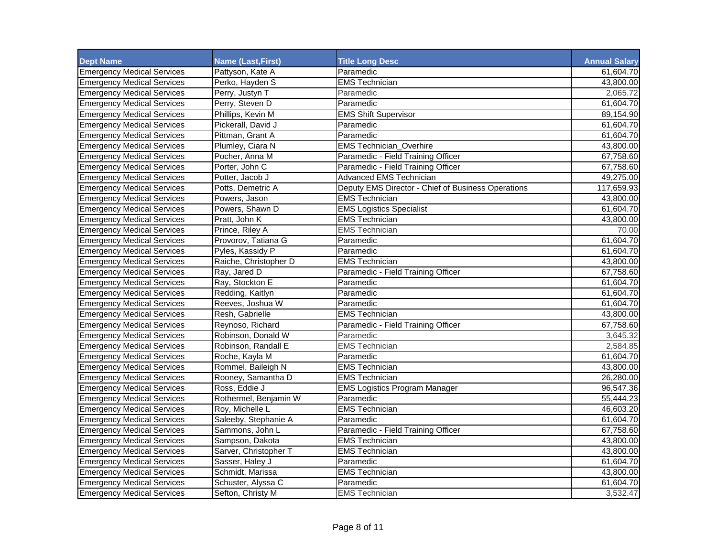| <b>Dept Name</b>                  | <b>Name (Last, First)</b> | <b>Title Long Desc</b>                             | <b>Annual Salary</b> |
|-----------------------------------|---------------------------|----------------------------------------------------|----------------------|
| <b>Emergency Medical Services</b> | Pattyson, Kate A          | Paramedic                                          | 61.604.70            |
| <b>Emergency Medical Services</b> | Perko, Hayden S           | <b>EMS Technician</b>                              | 43,800.00            |
| <b>Emergency Medical Services</b> | Perry, Justyn T           | Paramedic                                          | 2,065.72             |
| <b>Emergency Medical Services</b> | Perry, Steven D           | Paramedic                                          | 61,604.70            |
| <b>Emergency Medical Services</b> | Phillips, Kevin M         | <b>EMS Shift Supervisor</b>                        | 89,154.90            |
| <b>Emergency Medical Services</b> | Pickerall, David J        | Paramedic                                          | 61,604.70            |
| <b>Emergency Medical Services</b> | Pittman, Grant A          | Paramedic                                          | 61,604.70            |
| <b>Emergency Medical Services</b> | Plumley, Ciara N          | <b>EMS Technician_Overhire</b>                     | 43,800.00            |
| <b>Emergency Medical Services</b> | Pocher, Anna M            | Paramedic - Field Training Officer                 | 67,758.60            |
| <b>Emergency Medical Services</b> | Porter, John C            | Paramedic - Field Training Officer                 | 67,758.60            |
| <b>Emergency Medical Services</b> | Potter. Jacob J           | <b>Advanced EMS Technician</b>                     | 49,275.00            |
| <b>Emergency Medical Services</b> | Potts, Demetric A         | Deputy EMS Director - Chief of Business Operations | 117,659.93           |
| <b>Emergency Medical Services</b> | Powers. Jason             | <b>EMS Technician</b>                              | 43,800.00            |
| <b>Emergency Medical Services</b> | Powers, Shawn D           | <b>EMS Logistics Specialist</b>                    | 61,604.70            |
| <b>Emergency Medical Services</b> | Pratt, John K             | <b>EMS Technician</b>                              | 43,800.00            |
| <b>Emergency Medical Services</b> | Prince, Riley A           | <b>EMS Technician</b>                              | 70.00                |
| <b>Emergency Medical Services</b> | Provorov, Tatiana G       | Paramedic                                          | 61,604.70            |
| <b>Emergency Medical Services</b> | Pyles, Kassidy P          | Paramedic                                          | 61,604.70            |
| <b>Emergency Medical Services</b> | Raiche, Christopher D     | <b>EMS Technician</b>                              | 43,800.00            |
| <b>Emergency Medical Services</b> | Ray, Jared D              | Paramedic - Field Training Officer                 | 67,758.60            |
| <b>Emergency Medical Services</b> | Ray, Stockton E           | Paramedic                                          | 61,604.70            |
| <b>Emergency Medical Services</b> | Redding, Kaitlyn          | Paramedic                                          | 61,604.70            |
| <b>Emergency Medical Services</b> | Reeves, Joshua W          | Paramedic                                          | 61,604.70            |
| <b>Emergency Medical Services</b> | Resh, Gabrielle           | <b>EMS Technician</b>                              | 43,800.00            |
| <b>Emergency Medical Services</b> | Reynoso, Richard          | Paramedic - Field Training Officer                 | 67,758.60            |
| <b>Emergency Medical Services</b> | Robinson, Donald W        | Paramedic                                          | 3,645.32             |
| <b>Emergency Medical Services</b> | Robinson, Randall E       | <b>EMS Technician</b>                              | 2,584.85             |
| <b>Emergency Medical Services</b> | Roche, Kayla M            | Paramedic                                          | 61,604.70            |
| <b>Emergency Medical Services</b> | Rommel, Baileigh N        | <b>EMS Technician</b>                              | 43,800.00            |
| <b>Emergency Medical Services</b> | Rooney, Samantha D        | <b>EMS Technician</b>                              | 26,280.00            |
| <b>Emergency Medical Services</b> | Ross. Eddie J             | <b>EMS Logistics Program Manager</b>               | 96,547.36            |
| <b>Emergency Medical Services</b> | Rothermel, Benjamin W     | Paramedic                                          | 55,444.23            |
| <b>Emergency Medical Services</b> | Roy, Michelle L           | <b>EMS Technician</b>                              | 46,603.20            |
| <b>Emergency Medical Services</b> | Saleeby, Stephanie A      | Paramedic                                          | 61,604.70            |
| <b>Emergency Medical Services</b> | Sammons, John L           | Paramedic - Field Training Officer                 | 67,758.60            |
| <b>Emergency Medical Services</b> | Sampson, Dakota           | <b>EMS Technician</b>                              | 43,800.00            |
| <b>Emergency Medical Services</b> | Sarver, Christopher T     | <b>EMS Technician</b>                              | 43,800.00            |
| <b>Emergency Medical Services</b> | Sasser, Haley J           | Paramedic                                          | 61,604.70            |
| <b>Emergency Medical Services</b> | Schmidt, Marissa          | <b>EMS Technician</b>                              | 43,800.00            |
| <b>Emergency Medical Services</b> | Schuster, Alyssa C        | Paramedic                                          | 61,604.70            |
| <b>Emergency Medical Services</b> | Sefton, Christy M         | <b>EMS Technician</b>                              | 3,532.47             |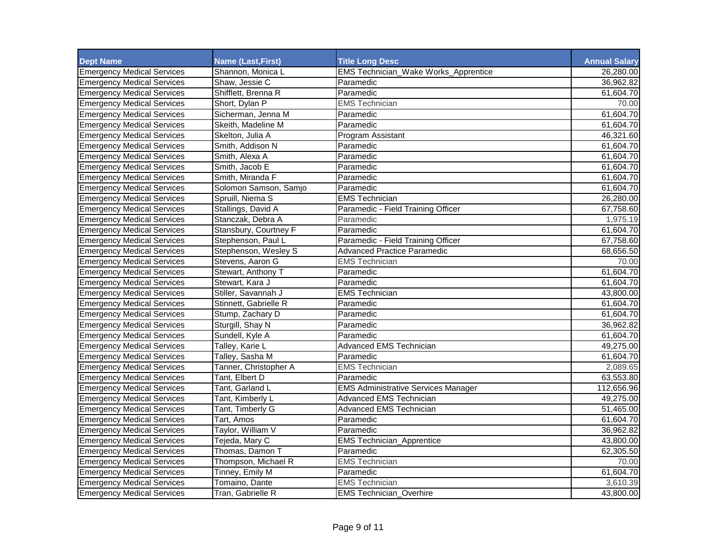| <b>Dept Name</b>                  | <b>Name (Last, First)</b> | <b>Title Long Desc</b>                      | <b>Annual Salary</b> |
|-----------------------------------|---------------------------|---------------------------------------------|----------------------|
| <b>Emergency Medical Services</b> | Shannon, Monica L         | <b>EMS Technician_Wake Works_Apprentice</b> | 26,280.00            |
| <b>Emergency Medical Services</b> | Shaw, Jessie C            | Paramedic                                   | 36,962.82            |
| <b>Emergency Medical Services</b> | Shifflett, Brenna R       | Paramedic                                   | 61,604.70            |
| <b>Emergency Medical Services</b> | Short, Dylan P            | <b>EMS Technician</b>                       | 70.00                |
| <b>Emergency Medical Services</b> | Sicherman, Jenna M        | Paramedic                                   | 61,604.70            |
| <b>Emergency Medical Services</b> | Skeith, Madeline M        | Paramedic                                   | 61,604.70            |
| <b>Emergency Medical Services</b> | Skelton, Julia A          | Program Assistant                           | 46,321.60            |
| <b>Emergency Medical Services</b> | Smith. Addison N          | Paramedic                                   | 61,604.70            |
| <b>Emergency Medical Services</b> | Smith. Alexa A            | Paramedic                                   | 61,604.70            |
| <b>Emergency Medical Services</b> | Smith, Jacob E            | Paramedic                                   | 61,604.70            |
| <b>Emergency Medical Services</b> | Smith, Miranda F          | Paramedic                                   | 61,604.70            |
| <b>Emergency Medical Services</b> | Solomon Samson, Samjo     | Paramedic                                   | 61,604.70            |
| <b>Emergency Medical Services</b> | Spruill, Niema S          | <b>EMS Technician</b>                       | 26,280.00            |
| <b>Emergency Medical Services</b> | Stallings, David A        | Paramedic - Field Training Officer          | 67,758.60            |
| <b>Emergency Medical Services</b> | Stanczak, Debra A         | Paramedic                                   | 1,975.19             |
| <b>Emergency Medical Services</b> | Stansbury, Courtney F     | Paramedic                                   | 61,604.70            |
| <b>Emergency Medical Services</b> | Stephenson, Paul L        | Paramedic - Field Training Officer          | 67,758.60            |
| <b>Emergency Medical Services</b> | Stephenson, Wesley S      | <b>Advanced Practice Paramedic</b>          | 68,656.50            |
| <b>Emergency Medical Services</b> | Stevens, Aaron G          | <b>EMS Technician</b>                       | 70.00                |
| <b>Emergency Medical Services</b> | Stewart, Anthony T        | Paramedic                                   | 61,604.70            |
| <b>Emergency Medical Services</b> | Stewart, Kara J           | Paramedic                                   | 61,604.70            |
| <b>Emergency Medical Services</b> | Stiller, Savannah J       | <b>EMS Technician</b>                       | 43,800.00            |
| <b>Emergency Medical Services</b> | Stinnett, Gabrielle R     | Paramedic                                   | 61,604.70            |
| <b>Emergency Medical Services</b> | Stump, Zachary D          | Paramedic                                   | 61,604.70            |
| <b>Emergency Medical Services</b> | Sturgill, Shay N          | Paramedic                                   | 36,962.82            |
| <b>Emergency Medical Services</b> | Sundell, Kyle A           | Paramedic                                   | 61,604.70            |
| <b>Emergency Medical Services</b> | Talley, Karie L           | <b>Advanced EMS Technician</b>              | 49,275.00            |
| <b>Emergency Medical Services</b> | Talley, Sasha M           | Paramedic                                   | 61,604.70            |
| <b>Emergency Medical Services</b> | Tanner, Christopher A     | <b>EMS Technician</b>                       | 2,089.65             |
| <b>Emergency Medical Services</b> | Tant, Elbert D            | Paramedic                                   | 63,553.80            |
| <b>Emergency Medical Services</b> | Tant, Garland L           | <b>EMS Administrative Services Manager</b>  | 112,656.96           |
| <b>Emergency Medical Services</b> | Tant, Kimberly L          | <b>Advanced EMS Technician</b>              | 49,275.00            |
| <b>Emergency Medical Services</b> | Tant, Timberly G          | <b>Advanced EMS Technician</b>              | 51,465.00            |
| <b>Emergency Medical Services</b> | Tart. Amos                | Paramedic                                   | 61,604.70            |
| <b>Emergency Medical Services</b> | Taylor, William V         | Paramedic                                   | 36,962.82            |
| <b>Emergency Medical Services</b> | Tejeda, Mary C            | <b>EMS Technician_Apprentice</b>            | 43,800.00            |
| <b>Emergency Medical Services</b> | Thomas, Damon T           | Paramedic                                   | 62,305.50            |
| <b>Emergency Medical Services</b> | Thompson, Michael R       | <b>EMS Technician</b>                       | 70.00                |
| <b>Emergency Medical Services</b> | Tinney, Emily M           | Paramedic                                   | 61,604.70            |
| <b>Emergency Medical Services</b> | Tomaino, Dante            | <b>EMS</b> Technician                       | 3,610.39             |
| <b>Emergency Medical Services</b> | Tran, Gabrielle R         | <b>EMS Technician_Overhire</b>              | 43,800.00            |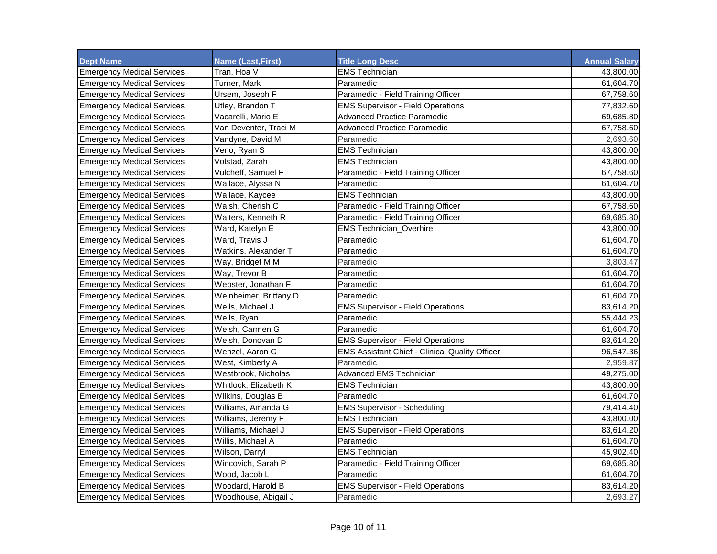| <b>Dept Name</b>                  | <b>Name (Last, First)</b> | <b>Title Long Desc</b>                                | <b>Annual Salary</b> |
|-----------------------------------|---------------------------|-------------------------------------------------------|----------------------|
| <b>Emergency Medical Services</b> | Tran, Hoa V               | <b>EMS Technician</b>                                 | 43,800.00            |
| <b>Emergency Medical Services</b> | Turner, Mark              | Paramedic                                             | 61,604.70            |
| <b>Emergency Medical Services</b> | Ursem, Joseph F           | Paramedic - Field Training Officer                    | 67,758.60            |
| <b>Emergency Medical Services</b> | Utley, Brandon T          | <b>EMS Supervisor - Field Operations</b>              | 77,832.60            |
| <b>Emergency Medical Services</b> | Vacarelli, Mario E        | <b>Advanced Practice Paramedic</b>                    | 69,685.80            |
| <b>Emergency Medical Services</b> | Van Deventer, Traci M     | <b>Advanced Practice Paramedic</b>                    | 67,758.60            |
| <b>Emergency Medical Services</b> | Vandyne, David M          | Paramedic                                             | 2,693.60             |
| <b>Emergency Medical Services</b> | Veno, Ryan S              | <b>EMS Technician</b>                                 | 43,800.00            |
| <b>Emergency Medical Services</b> | Volstad, Zarah            | <b>EMS Technician</b>                                 | 43,800.00            |
| <b>Emergency Medical Services</b> | Vulcheff, Samuel F        | Paramedic - Field Training Officer                    | 67,758.60            |
| <b>Emergency Medical Services</b> | Wallace, Alyssa N         | Paramedic                                             | 61,604.70            |
| <b>Emergency Medical Services</b> | Wallace, Kaycee           | <b>EMS Technician</b>                                 | 43,800.00            |
| <b>Emergency Medical Services</b> | Walsh, Cherish C          | Paramedic - Field Training Officer                    | 67,758.60            |
| <b>Emergency Medical Services</b> | Walters, Kenneth R        | Paramedic - Field Training Officer                    | 69,685.80            |
| <b>Emergency Medical Services</b> | Ward, Katelyn E           | <b>EMS Technician_Overhire</b>                        | 43,800.00            |
| <b>Emergency Medical Services</b> | Ward, Travis J            | Paramedic                                             | 61,604.70            |
| <b>Emergency Medical Services</b> | Watkins, Alexander T      | Paramedic                                             | 61,604.70            |
| <b>Emergency Medical Services</b> | Way, Bridget M M          | Paramedic                                             | 3,803.47             |
| <b>Emergency Medical Services</b> | Way, Trevor B             | Paramedic                                             | 61,604.70            |
| <b>Emergency Medical Services</b> | Webster, Jonathan F       | Paramedic                                             | 61,604.70            |
| <b>Emergency Medical Services</b> | Weinheimer, Brittany D    | Paramedic                                             | 61,604.70            |
| <b>Emergency Medical Services</b> | Wells, Michael J          | <b>EMS Supervisor - Field Operations</b>              | 83,614.20            |
| <b>Emergency Medical Services</b> | Wells, Ryan               | Paramedic                                             | 55,444.23            |
| <b>Emergency Medical Services</b> | Welsh, Carmen G           | Paramedic                                             | 61,604.70            |
| <b>Emergency Medical Services</b> | Welsh, Donovan D          | <b>EMS Supervisor - Field Operations</b>              | 83,614.20            |
| <b>Emergency Medical Services</b> | Wenzel, Aaron G           | <b>EMS Assistant Chief - Clinical Quality Officer</b> | 96,547.36            |
| <b>Emergency Medical Services</b> | West, Kimberly A          | Paramedic                                             | 2,959.87             |
| <b>Emergency Medical Services</b> | Westbrook, Nicholas       | <b>Advanced EMS Technician</b>                        | 49,275.00            |
| <b>Emergency Medical Services</b> | Whitlock, Elizabeth K     | <b>EMS Technician</b>                                 | 43,800.00            |
| <b>Emergency Medical Services</b> | Wilkins, Douglas B        | Paramedic                                             | 61,604.70            |
| <b>Emergency Medical Services</b> | Williams, Amanda G        | <b>EMS Supervisor - Scheduling</b>                    | 79,414.40            |
| <b>Emergency Medical Services</b> | Williams, Jeremy F        | <b>EMS Technician</b>                                 | 43,800.00            |
| <b>Emergency Medical Services</b> | Williams, Michael J       | <b>EMS Supervisor - Field Operations</b>              | 83,614.20            |
| <b>Emergency Medical Services</b> | Willis, Michael A         | Paramedic                                             | 61,604.70            |
| <b>Emergency Medical Services</b> | Wilson, Darryl            | <b>EMS Technician</b>                                 | 45,902.40            |
| <b>Emergency Medical Services</b> | Wincovich, Sarah P        | Paramedic - Field Training Officer                    | 69,685.80            |
| <b>Emergency Medical Services</b> | Wood, Jacob L             | Paramedic                                             | 61,604.70            |
| <b>Emergency Medical Services</b> | Woodard, Harold B         | <b>EMS Supervisor - Field Operations</b>              | 83,614.20            |
| <b>Emergency Medical Services</b> | Woodhouse, Abigail J      | Paramedic                                             | 2,693.27             |